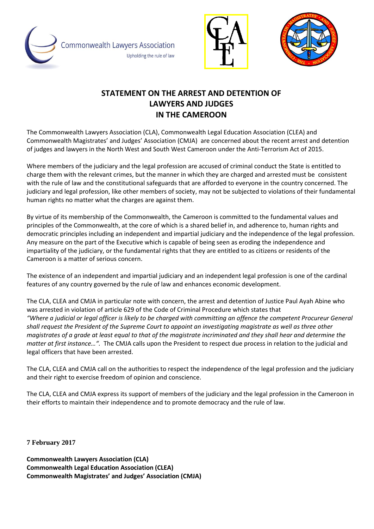





## **STATEMENT ON THE ARREST AND DETENTION OF LAWYERS AND JUDGES IN THE CAMEROON**

The Commonwealth Lawyers Association (CLA), Commonwealth Legal Education Association (CLEA) and Commonwealth Magistrates' and Judges' Association (CMJA) are concerned about the recent arrest and detention of judges and lawyers in the North West and South West Cameroon under the Anti-Terrorism Act of 2015.

Where members of the judiciary and the legal profession are accused of criminal conduct the State is entitled to charge them with the relevant crimes, but the manner in which they are charged and arrested must be consistent with the rule of law and the constitutional safeguards that are afforded to everyone in the country concerned. The judiciary and legal profession, like other members of society, may not be subjected to violations of their fundamental human rights no matter what the charges are against them.

By virtue of its membership of the Commonwealth, the Cameroon is committed to the fundamental values and principles of the Commonwealth, at the core of which is a shared belief in, and adherence to, human rights and democratic principles including an independent and impartial judiciary and the independence of the legal profession. Any measure on the part of the Executive which is capable of being seen as eroding the independence and impartiality of the judiciary, or the fundamental rights that they are entitled to as citizens or residents of the Cameroon is a matter of serious concern.

The existence of an independent and impartial judiciary and an independent legal profession is one of the cardinal features of any country governed by the rule of law and enhances economic development.

The CLA, CLEA and CMJA in particular note with concern, the arrest and detention of Justice Paul Ayah Abine who was arrested in violation of article 629 of the Code of Criminal Procedure which states that *"Where a judicial or legal officer is likely to be charged with committing an offence the competent Procureur General shall request the President of the Supreme Court to appoint an investigating magistrate as well as three other magistrates of a grade at least equal to that of the magistrate incriminated and they shall hear and determine the matter at first instance…".* The CMJA calls upon the President to respect due process in relation to the judicial and legal officers that have been arrested.

The CLA, CLEA and CMJA call on the authorities to respect the independence of the legal profession and the judiciary and their right to exercise freedom of opinion and conscience.

The CLA, CLEA and CMJA express its support of members of the judiciary and the legal profession in the Cameroon in their efforts to maintain their independence and to promote democracy and the rule of law.

**7 February 2017**

**Commonwealth Lawyers Association (CLA) Commonwealth Legal Education Association (CLEA) Commonwealth Magistrates' and Judges' Association (CMJA)**